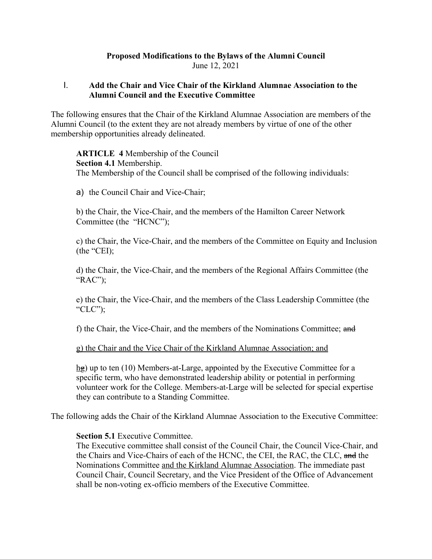# **Proposed Modifications to the Bylaws of the Alumni Council** June 12, 2021

# I. **Add the Chair and Vice Chair of the Kirkland Alumnae Association to the Alumni Council and the Executive Committee**

The following ensures that the Chair of the Kirkland Alumnae Association are members of the Alumni Council (to the extent they are not already members by virtue of one of the other membership opportunities already delineated.

**ARTICLE 4** Membership of the Council **Section 4.1** Membership. The Membership of the Council shall be comprised of the following individuals:

a) the Council Chair and Vice-Chair;

b) the Chair, the Vice-Chair, and the members of the Hamilton Career Network Committee (the "HCNC");

c) the Chair, the Vice-Chair, and the members of the Committee on Equity and Inclusion (the "CEI);

d) the Chair, the Vice-Chair, and the members of the Regional Affairs Committee (the "RAC");

e) the Chair, the Vice-Chair, and the members of the Class Leadership Committee (the "CLC");

f) the Chair, the Vice-Chair, and the members of the Nominations Committee; and

#### g) the Chair and the Vice Chair of the Kirkland Alumnae Association; and

hg) up to ten (10) Members-at-Large, appointed by the Executive Committee for a specific term, who have demonstrated leadership ability or potential in performing volunteer work for the College. Members-at-Large will be selected for special expertise they can contribute to a Standing Committee.

The following adds the Chair of the Kirkland Alumnae Association to the Executive Committee:

#### **Section 5.1** Executive Committee.

The Executive committee shall consist of the Council Chair, the Council Vice-Chair, and the Chairs and Vice-Chairs of each of the HCNC, the CEI, the RAC, the CLC, and the Nominations Committee and the Kirkland Alumnae Association. The immediate past Council Chair, Council Secretary, and the Vice President of the Office of Advancement shall be non-voting ex-officio members of the Executive Committee.